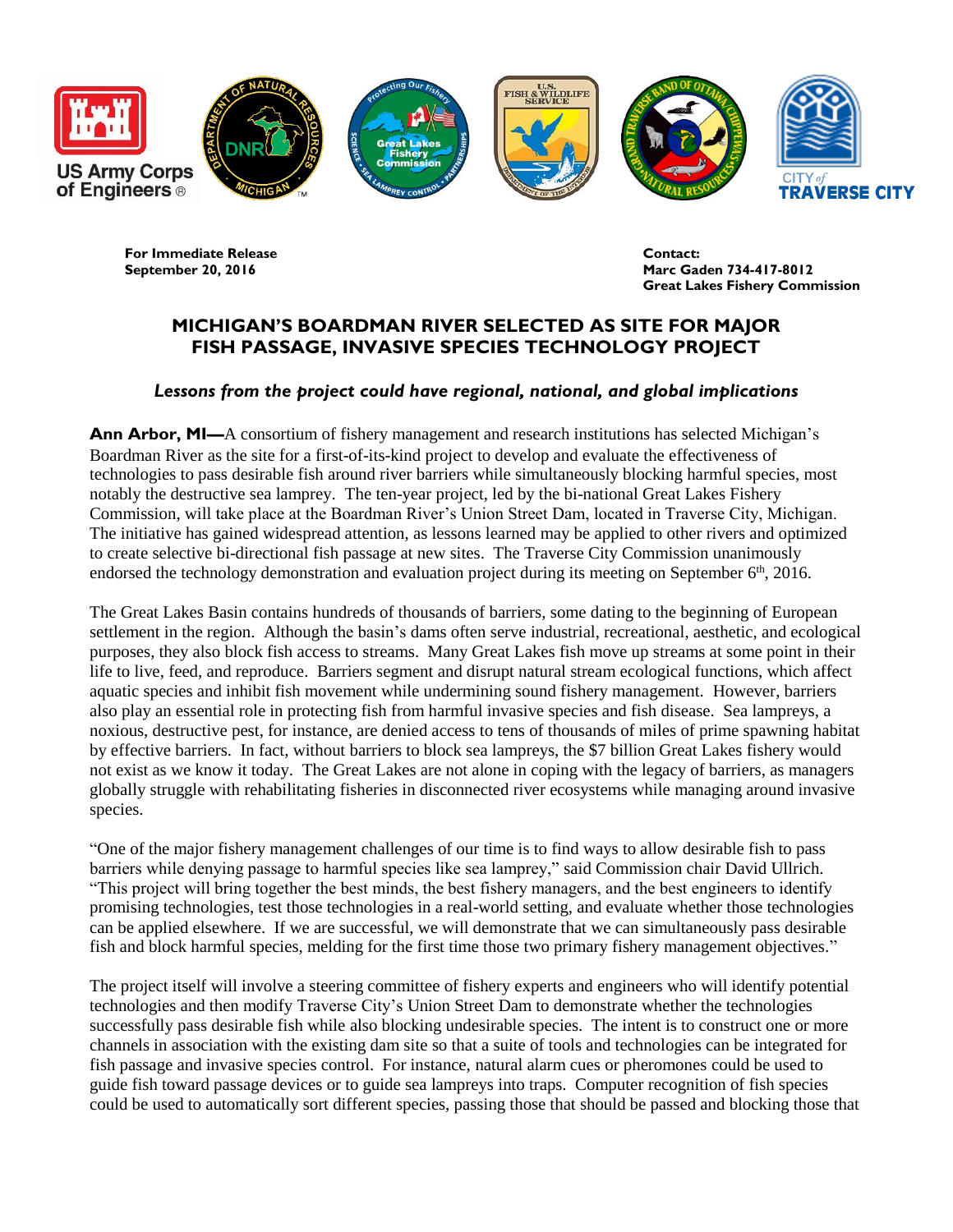

**For Immediate Release Contact:** 

**September 20, 2016 Marc Gaden 734-417-8012 Great Lakes Fishery Commission**

## **MICHIGAN'S BOARDMAN RIVER SELECTED AS SITE FOR MAJOR FISH PASSAGE, INVASIVE SPECIES TECHNOLOGY PROJECT**

## *Lessons from the project could have regional, national, and global implications*

**Ann Arbor, MI—**A consortium of fishery management and research institutions has selected Michigan's Boardman River as the site for a first-of-its-kind project to develop and evaluate the effectiveness of technologies to pass desirable fish around river barriers while simultaneously blocking harmful species, most notably the destructive sea lamprey. The ten-year project, led by the bi-national Great Lakes Fishery Commission, will take place at the Boardman River's Union Street Dam, located in Traverse City, Michigan. The initiative has gained widespread attention, as lessons learned may be applied to other rivers and optimized to create selective bi-directional fish passage at new sites. The Traverse City Commission unanimously endorsed the technology demonstration and evaluation project during its meeting on September 6<sup>th</sup>, 2016.

The Great Lakes Basin contains hundreds of thousands of barriers, some dating to the beginning of European settlement in the region. Although the basin's dams often serve industrial, recreational, aesthetic, and ecological purposes, they also block fish access to streams. Many Great Lakes fish move up streams at some point in their life to live, feed, and reproduce. Barriers segment and disrupt natural stream ecological functions, which affect aquatic species and inhibit fish movement while undermining sound fishery management. However, barriers also play an essential role in protecting fish from harmful invasive species and fish disease. Sea lampreys, a noxious, destructive pest, for instance, are denied access to tens of thousands of miles of prime spawning habitat by effective barriers. In fact, without barriers to block sea lampreys, the \$7 billion Great Lakes fishery would not exist as we know it today. The Great Lakes are not alone in coping with the legacy of barriers, as managers globally struggle with rehabilitating fisheries in disconnected river ecosystems while managing around invasive species.

"One of the major fishery management challenges of our time is to find ways to allow desirable fish to pass barriers while denying passage to harmful species like sea lamprey," said Commission chair David Ullrich. "This project will bring together the best minds, the best fishery managers, and the best engineers to identify promising technologies, test those technologies in a real-world setting, and evaluate whether those technologies can be applied elsewhere. If we are successful, we will demonstrate that we can simultaneously pass desirable fish and block harmful species, melding for the first time those two primary fishery management objectives."

The project itself will involve a steering committee of fishery experts and engineers who will identify potential technologies and then modify Traverse City's Union Street Dam to demonstrate whether the technologies successfully pass desirable fish while also blocking undesirable species. The intent is to construct one or more channels in association with the existing dam site so that a suite of tools and technologies can be integrated for fish passage and invasive species control. For instance, natural alarm cues or pheromones could be used to guide fish toward passage devices or to guide sea lampreys into traps. Computer recognition of fish species could be used to automatically sort different species, passing those that should be passed and blocking those that